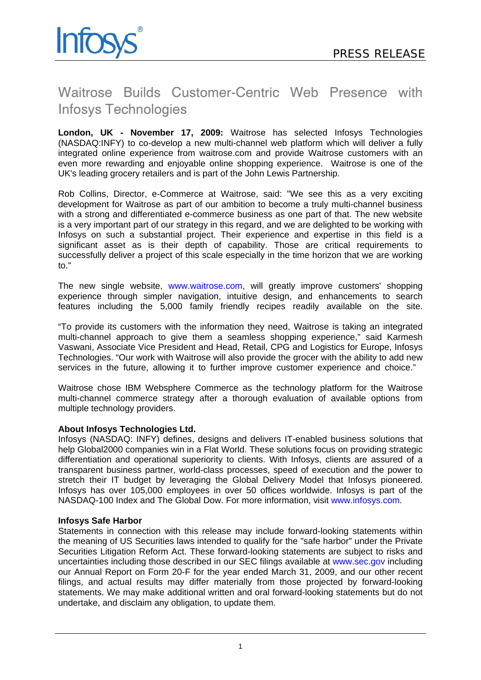

## Waitrose Builds Customer-Centric Web Presence with Infosys Technologies

**London, UK - November 17, 2009:** Waitrose has selected Infosys Technologies (NASDAQ:INFY) to co-develop a new multi-channel web platform which will deliver a fully integrated online experience from waitrose.com and provide Waitrose customers with an even more rewarding and enjoyable online shopping experience. Waitrose is one of the UK's leading grocery retailers and is part of the John Lewis Partnership.

Rob Collins, Director, e-Commerce at Waitrose, said: "We see this as a very exciting development for Waitrose as part of our ambition to become a truly multi-channel business with a strong and differentiated e-commerce business as one part of that. The new website is a very important part of our strategy in this regard, and we are delighted to be working with Infosys on such a substantial project. Their experience and expertise in this field is a significant asset as is their depth of capability. Those are critical requirements to successfully deliver a project of this scale especially in the time horizon that we are working to."

The new single website, www.waitrose.com, will greatly improve customers' shopping experience through simpler navigation, intuitive design, and enhancements to search features including the 5,000 family friendly recipes readily available on the site.

"To provide its customers with the information they need, Waitrose is taking an integrated multi-channel approach to give them a seamless shopping experience," said Karmesh Vaswani, Associate Vice President and Head, Retail, CPG and Logistics for Europe, Infosys Technologies. "Our work with Waitrose will also provide the grocer with the ability to add new services in the future, allowing it to further improve customer experience and choice."

Waitrose chose IBM Websphere Commerce as the technology platform for the Waitrose multi-channel commerce strategy after a thorough evaluation of available options from multiple technology providers.

## **About Infosys Technologies Ltd.**

Infosys (NASDAQ: INFY) defines, designs and delivers IT-enabled business solutions that help Global2000 companies win in a Flat World. These solutions focus on providing strategic differentiation and operational superiority to clients. With Infosys, clients are assured of a transparent business partner, world-class processes, speed of execution and the power to stretch their IT budget by leveraging the Global Delivery Model that Infosys pioneered. Infosys has over 105,000 employees in over 50 offices worldwide. Infosys is part of the NASDAQ-100 Index and The Global Dow. For more information, visit www.infosys.com.

## **Infosys Safe Harbor**

Statements in connection with this release may include forward-looking statements within the meaning of US Securities laws intended to qualify for the "safe harbor" under the Private Securities Litigation Reform Act. These forward-looking statements are subject to risks and uncertainties including those described in our SEC filings available at www.sec.gov including our Annual Report on Form 20-F for the year ended March 31, 2009, and our other recent filings, and actual results may differ materially from those projected by forward-looking statements. We may make additional written and oral forward-looking statements but do not undertake, and disclaim any obligation, to update them.